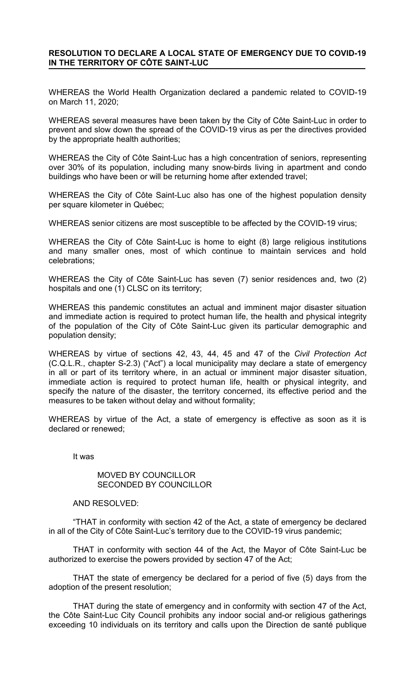## **RESOLUTION TO DECLARE A LOCAL STATE OF EMERGENCY DUE TO COVID-19 IN THE TERRITORY OF CÔTE SAINT-LUC**

WHEREAS the World Health Organization declared a pandemic related to COVID-19 on March 11, 2020;

WHEREAS several measures have been taken by the City of Côte Saint-Luc in order to prevent and slow down the spread of the COVID-19 virus as per the directives provided by the appropriate health authorities;

WHEREAS the City of Côte Saint-Luc has a high concentration of seniors, representing over 30% of its population, including many snow-birds living in apartment and condo buildings who have been or will be returning home after extended travel;

WHEREAS the City of Côte Saint-Luc also has one of the highest population density per square kilometer in Québec;

WHEREAS senior citizens are most susceptible to be affected by the COVID-19 virus;

WHEREAS the City of Côte Saint-Luc is home to eight (8) large religious institutions and many smaller ones, most of which continue to maintain services and hold celebrations;

WHEREAS the City of Côte Saint-Luc has seven (7) senior residences and, two (2) hospitals and one (1) CLSC on its territory;

WHEREAS this pandemic constitutes an actual and imminent major disaster situation and immediate action is required to protect human life, the health and physical integrity of the population of the City of Côte Saint-Luc given its particular demographic and population density;

WHEREAS by virtue of sections 42, 43, 44, 45 and 47 of the *Civil Protection Act* (C.Q.L.R., chapter S-2.3) ("Act") a local municipality may declare a state of emergency in all or part of its territory where, in an actual or imminent major disaster situation, immediate action is required to protect human life, health or physical integrity, and specify the nature of the disaster, the territory concerned, its effective period and the measures to be taken without delay and without formality;

WHEREAS by virtue of the Act, a state of emergency is effective as soon as it is declared or renewed;

It was

## MOVED BY COUNCILLOR SECONDED BY COUNCILLOR

## AND RESOLVED:

"THAT in conformity with section 42 of the Act, a state of emergency be declared in all of the City of Côte Saint-Luc's territory due to the COVID-19 virus pandemic;

THAT in conformity with section 44 of the Act, the Mayor of Côte Saint-Luc be authorized to exercise the powers provided by section 47 of the Act;

THAT the state of emergency be declared for a period of five (5) days from the adoption of the present resolution;

THAT during the state of emergency and in conformity with section 47 of the Act, the Côte Saint-Luc City Council prohibits any indoor social and-or religious gatherings exceeding 10 individuals on its territory and calls upon the Direction de santé publique